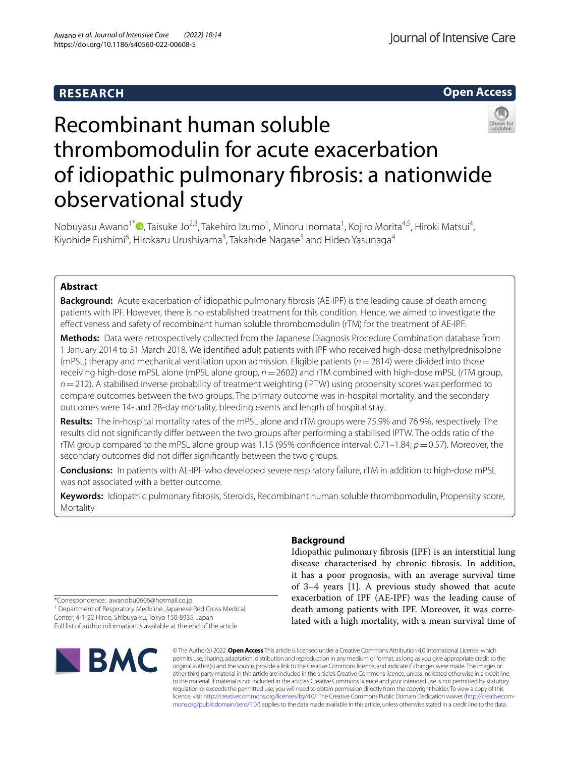## **RESEARCH**

## **Open Access**



# Recombinant human soluble thrombomodulin for acute exacerbation of idiopathic pulmonary fbrosis: a nationwide observational study

Nobuyasu Awano<sup>1\*</sup> <sup>(@</sup>[,](http://orcid.org/0000-0002-1438-4880) Taisuke Jo<sup>2,3</sup>, Takehiro Izumo<sup>1</sup>, Minoru Inomata<sup>1</sup>, Kojiro Morita<sup>4,5</sup>, Hiroki Matsui<sup>4</sup>, Kiyohide Fushimi<sup>6</sup>, Hirokazu Urushiyama<sup>3</sup>, Takahide Nagase<sup>3</sup> and Hideo Yasunaga<sup>4</sup>

## **Abstract**

**Background:** Acute exacerbation of idiopathic pulmonary fibrosis (AE-IPF) is the leading cause of death among patients with IPF. However, there is no established treatment for this condition. Hence, we aimed to investigate the efectiveness and safety of recombinant human soluble thrombomodulin (rTM) for the treatment of AE-IPF.

**Methods:** Data were retrospectively collected from the Japanese Diagnosis Procedure Combination database from 1 January 2014 to 31 March 2018. We identifed adult patients with IPF who received high-dose methylprednisolone (mPSL) therapy and mechanical ventilation upon admission. Eligible patients (*n*=2814) were divided into those receiving high-dose mPSL alone (mPSL alone group, *n*=2602) and rTM combined with high-dose mPSL (rTM group, *n*=212). A stabilised inverse probability of treatment weighting (IPTW) using propensity scores was performed to compare outcomes between the two groups. The primary outcome was in-hospital mortality, and the secondary outcomes were 14- and 28-day mortality, bleeding events and length of hospital stay.

**Results:** The in-hospital mortality rates of the mPSL alone and rTM groups were 75.9% and 76.9%, respectively. The results did not signifcantly difer between the two groups after performing a stabilised IPTW. The odds ratio of the rTM group compared to the mPSL alone group was 1.15 (95% confdence interval: 0.71–1.84; *p*=0.57). Moreover, the secondary outcomes did not difer signifcantly between the two groups.

**Conclusions:** In patients with AE-IPF who developed severe respiratory failure, rTM in addition to high-dose mPSL was not associated with a better outcome.

**Keywords:** Idiopathic pulmonary fbrosis, Steroids, Recombinant human soluble thrombomodulin, Propensity score, **Mortality** 

## **Background**

Idiopathic pulmonary fbrosis (IPF) is an interstitial lung disease characterised by chronic fbrosis. In addition, it has a poor prognosis, with an average survival time of 3–4 years  $[1]$  $[1]$ . A previous study showed that acute exacerbation of IPF (AE-IPF) was the leading cause of death among patients with IPF. Moreover, it was correlated with a high mortality, with a mean survival time of

\*Correspondence: awanobu0606@hotmail.co.jp

<sup>1</sup> Department of Respiratory Medicine, Japanese Red Cross Medical Center, 4-1-22 Hiroo, Shibuya-ku, Tokyo 150-8935, Japan Full list of author information is available at the end of the article



© The Author(s) 2022. **Open Access** This article is licensed under a Creative Commons Attribution 4.0 International License, which permits use, sharing, adaptation, distribution and reproduction in any medium or format, as long as you give appropriate credit to the original author(s) and the source, provide a link to the Creative Commons licence, and indicate if changes were made. The images or other third party material in this article are included in the article's Creative Commons licence, unless indicated otherwise in a credit line to the material. If material is not included in the article's Creative Commons licence and your intended use is not permitted by statutory regulation or exceeds the permitted use, you will need to obtain permission directly from the copyright holder. To view a copy of this licence, visit [http://creativecommons.org/licenses/by/4.0/.](http://creativecommons.org/licenses/by/4.0/) The Creative Commons Public Domain Dedication waiver ([http://creativecom](http://creativecommons.org/publicdomain/zero/1.0/)[mons.org/publicdomain/zero/1.0/\)](http://creativecommons.org/publicdomain/zero/1.0/) applies to the data made available in this article, unless otherwise stated in a credit line to the data.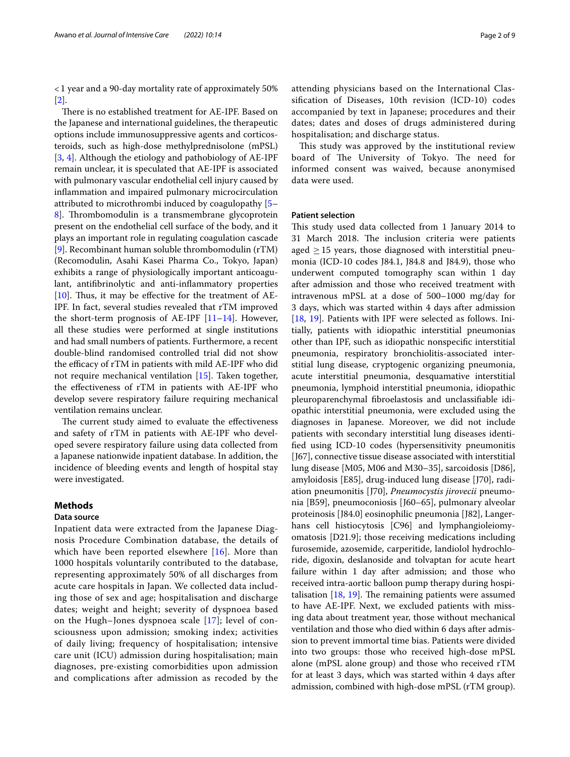<1 year and a 90-day mortality rate of approximately 50% [[2\]](#page-8-1).

There is no established treatment for AE-IPF. Based on the Japanese and international guidelines, the therapeutic options include immunosuppressive agents and corticosteroids, such as high-dose methylprednisolone (mPSL) [[3,](#page-8-2) [4\]](#page-8-3). Although the etiology and pathobiology of AE-IPF remain unclear, it is speculated that AE-IPF is associated with pulmonary vascular endothelial cell injury caused by infammation and impaired pulmonary microcirculation attributed to microthrombi induced by coagulopathy [[5–](#page-8-4) 8. Thrombomodulin is a transmembrane glycoprotein present on the endothelial cell surface of the body, and it plays an important role in regulating coagulation cascade [[9\]](#page-8-6). Recombinant human soluble thrombomodulin (rTM) (Recomodulin, Asahi Kasei Pharma Co., Tokyo, Japan) exhibits a range of physiologically important anticoagulant, antifbrinolytic and anti-infammatory properties [ $10$ ]. Thus, it may be effective for the treatment of AE-IPF. In fact, several studies revealed that rTM improved the short-term prognosis of AE-IPF [[11–](#page-8-8)[14](#page-8-9)]. However, all these studies were performed at single institutions and had small numbers of patients. Furthermore, a recent double-blind randomised controlled trial did not show the efficacy of rTM in patients with mild AE-IPF who did not require mechanical ventilation [[15](#page-8-10)]. Taken together, the efectiveness of rTM in patients with AE-IPF who develop severe respiratory failure requiring mechanical ventilation remains unclear.

The current study aimed to evaluate the effectiveness and safety of rTM in patients with AE-IPF who developed severe respiratory failure using data collected from a Japanese nationwide inpatient database. In addition, the incidence of bleeding events and length of hospital stay were investigated.

## **Methods**

#### **Data source**

Inpatient data were extracted from the Japanese Diagnosis Procedure Combination database, the details of which have been reported elsewhere [\[16\]](#page-8-11). More than 1000 hospitals voluntarily contributed to the database, representing approximately 50% of all discharges from acute care hospitals in Japan. We collected data including those of sex and age; hospitalisation and discharge dates; weight and height; severity of dyspnoea based on the Hugh–Jones dyspnoea scale [\[17](#page-8-12)]; level of consciousness upon admission; smoking index; activities of daily living; frequency of hospitalisation; intensive care unit (ICU) admission during hospitalisation; main diagnoses, pre-existing comorbidities upon admission and complications after admission as recoded by the attending physicians based on the International Classifcation of Diseases, 10th revision (ICD-10) codes accompanied by text in Japanese; procedures and their dates; dates and doses of drugs administered during hospitalisation; and discharge status.

This study was approved by the institutional review board of The University of Tokyo. The need for informed consent was waived, because anonymised data were used.

#### **Patient selection**

This study used data collected from 1 January 2014 to 31 March 2018. The inclusion criteria were patients aged  $\geq$  15 years, those diagnosed with interstitial pneumonia (ICD-10 codes J84.1, J84.8 and J84.9), those who underwent computed tomography scan within 1 day after admission and those who received treatment with intravenous mPSL at a dose of 500–1000 mg/day for 3 days, which was started within 4 days after admission [[18,](#page-8-13) [19](#page-8-14)]. Patients with IPF were selected as follows. Initially, patients with idiopathic interstitial pneumonias other than IPF, such as idiopathic nonspecifc interstitial pneumonia, respiratory bronchiolitis-associated interstitial lung disease, cryptogenic organizing pneumonia, acute interstitial pneumonia, desquamative interstitial pneumonia, lymphoid interstitial pneumonia, idiopathic pleuroparenchymal fbroelastosis and unclassifable idiopathic interstitial pneumonia, were excluded using the diagnoses in Japanese. Moreover, we did not include patients with secondary interstitial lung diseases identifed using ICD-10 codes (hypersensitivity pneumonitis [J67], connective tissue disease associated with interstitial lung disease [M05, M06 and M30–35], sarcoidosis [D86], amyloidosis [E85], drug-induced lung disease [J70], radiation pneumonitis [J70], *Pneumocystis jirovecii* pneumonia [B59], pneumoconiosis [J60–65], pulmonary alveolar proteinosis [J84.0] eosinophilic pneumonia [J82], Langerhans cell histiocytosis [C96] and lymphangioleiomyomatosis [D21.9]; those receiving medications including furosemide, azosemide, carperitide, landiolol hydrochloride, digoxin, deslanoside and tolvaptan for acute heart failure within 1 day after admission; and those who received intra-aortic balloon pump therapy during hospitalisation  $[18, 19]$  $[18, 19]$  $[18, 19]$  $[18, 19]$  $[18, 19]$ . The remaining patients were assumed to have AE-IPF. Next, we excluded patients with missing data about treatment year, those without mechanical ventilation and those who died within 6 days after admission to prevent immortal time bias. Patients were divided into two groups: those who received high-dose mPSL alone (mPSL alone group) and those who received rTM for at least 3 days, which was started within 4 days after admission, combined with high-dose mPSL (rTM group).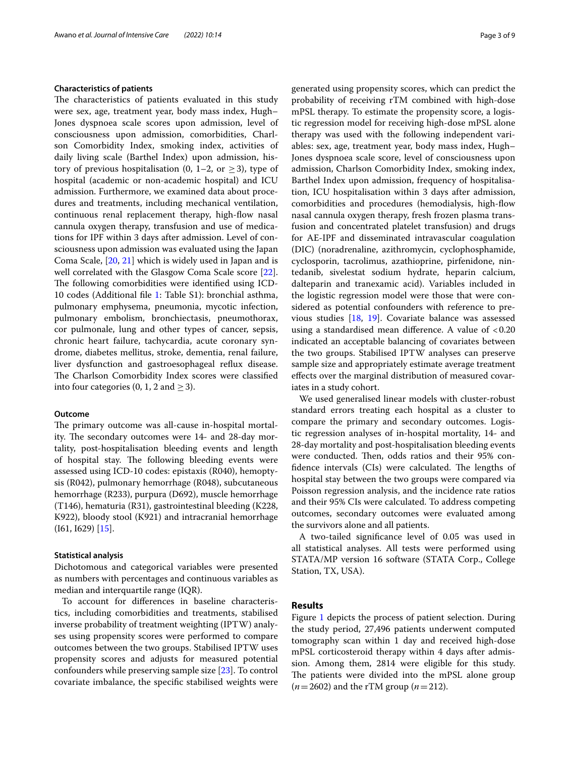#### **Characteristics of patients**

The characteristics of patients evaluated in this study were sex, age, treatment year, body mass index, Hugh– Jones dyspnoea scale scores upon admission, level of consciousness upon admission, comorbidities, Charlson Comorbidity Index, smoking index, activities of daily living scale (Barthel Index) upon admission, history of previous hospitalisation  $(0, 1-2, 0r > 3)$ , type of hospital (academic or non-academic hospital) and ICU admission. Furthermore, we examined data about procedures and treatments, including mechanical ventilation, continuous renal replacement therapy, high-fow nasal cannula oxygen therapy, transfusion and use of medications for IPF within 3 days after admission. Level of consciousness upon admission was evaluated using the Japan Coma Scale, [\[20,](#page-8-15) [21\]](#page-8-16) which is widely used in Japan and is well correlated with the Glasgow Coma Scale score [\[22](#page-8-17)]. The following comorbidities were identified using ICD-10 codes (Additional fle [1:](#page-7-0) Table S1): bronchial asthma, pulmonary emphysema, pneumonia, mycotic infection, pulmonary embolism, bronchiectasis, pneumothorax, cor pulmonale, lung and other types of cancer, sepsis, chronic heart failure, tachycardia, acute coronary syndrome, diabetes mellitus, stroke, dementia, renal failure, liver dysfunction and gastroesophageal refux disease. The Charlson Comorbidity Index scores were classified into four categories (0, 1, 2 and  $\geq$  3).

#### **Outcome**

The primary outcome was all-cause in-hospital mortality. The secondary outcomes were 14- and 28-day mortality, post-hospitalisation bleeding events and length of hospital stay. The following bleeding events were assessed using ICD-10 codes: epistaxis (R040), hemoptysis (R042), pulmonary hemorrhage (R048), subcutaneous hemorrhage (R233), purpura (D692), muscle hemorrhage (T146), hematuria (R31), gastrointestinal bleeding (K228, K922), bloody stool (K921) and intracranial hemorrhage (I61, I629) [\[15](#page-8-10)].

#### **Statistical analysis**

Dichotomous and categorical variables were presented as numbers with percentages and continuous variables as median and interquartile range (IQR).

To account for diferences in baseline characteristics, including comorbidities and treatments, stabilised inverse probability of treatment weighting (IPTW) analyses using propensity scores were performed to compare outcomes between the two groups. Stabilised IPTW uses propensity scores and adjusts for measured potential confounders while preserving sample size [[23\]](#page-8-18). To control covariate imbalance, the specifc stabilised weights were generated using propensity scores, which can predict the probability of receiving rTM combined with high-dose mPSL therapy. To estimate the propensity score, a logistic regression model for receiving high-dose mPSL alone therapy was used with the following independent variables: sex, age, treatment year, body mass index, Hugh– Jones dyspnoea scale score, level of consciousness upon admission, Charlson Comorbidity Index, smoking index, Barthel Index upon admission, frequency of hospitalisation, ICU hospitalisation within 3 days after admission, comorbidities and procedures (hemodialysis, high-fow nasal cannula oxygen therapy, fresh frozen plasma transfusion and concentrated platelet transfusion) and drugs for AE-IPF and disseminated intravascular coagulation (DIC) (noradrenaline, azithromycin, cyclophosphamide, cyclosporin, tacrolimus, azathioprine, pirfenidone, nintedanib, sivelestat sodium hydrate, heparin calcium, dalteparin and tranexamic acid). Variables included in the logistic regression model were those that were considered as potential confounders with reference to previous studies [\[18](#page-8-13), [19](#page-8-14)]. Covariate balance was assessed using a standardised mean difference. A value of  $< 0.20$ indicated an acceptable balancing of covariates between the two groups. Stabilised IPTW analyses can preserve sample size and appropriately estimate average treatment efects over the marginal distribution of measured covariates in a study cohort.

We used generalised linear models with cluster-robust standard errors treating each hospital as a cluster to compare the primary and secondary outcomes. Logistic regression analyses of in-hospital mortality, 14- and 28-day mortality and post-hospitalisation bleeding events were conducted. Then, odds ratios and their 95% confidence intervals (CIs) were calculated. The lengths of hospital stay between the two groups were compared via Poisson regression analysis, and the incidence rate ratios and their 95% CIs were calculated. To address competing outcomes, secondary outcomes were evaluated among the survivors alone and all patients.

A two-tailed signifcance level of 0.05 was used in all statistical analyses. All tests were performed using STATA/MP version 16 software (STATA Corp., College Station, TX, USA).

### **Results**

Figure [1](#page-3-0) depicts the process of patient selection. During the study period, 27,496 patients underwent computed tomography scan within 1 day and received high-dose mPSL corticosteroid therapy within 4 days after admission. Among them, 2814 were eligible for this study. The patients were divided into the mPSL alone group (*n*=2602) and the rTM group (*n*=212).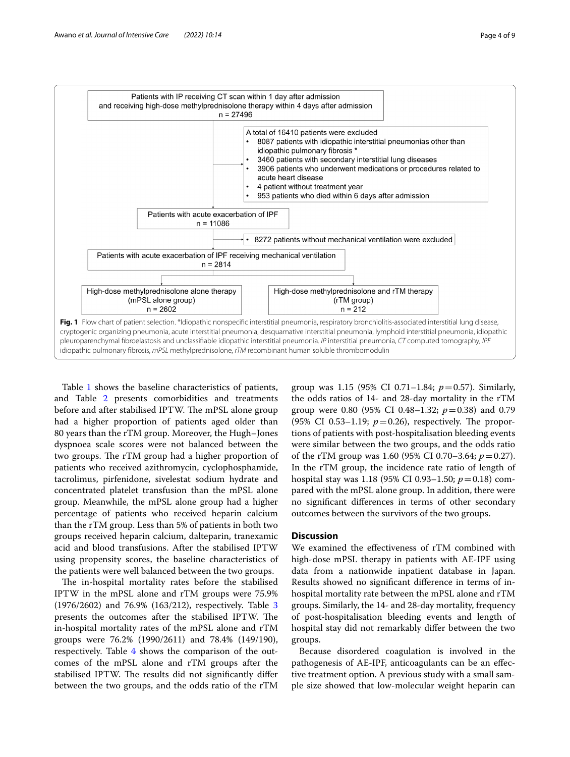

<span id="page-3-0"></span>Table [1](#page-4-0) shows the baseline characteristics of patients, and Table [2](#page-5-0) presents comorbidities and treatments before and after stabilised IPTW. The mPSL alone group had a higher proportion of patients aged older than 80 years than the rTM group. Moreover, the Hugh–Jones dyspnoea scale scores were not balanced between the two groups. The rTM group had a higher proportion of patients who received azithromycin, cyclophosphamide, tacrolimus, pirfenidone, sivelestat sodium hydrate and concentrated platelet transfusion than the mPSL alone group. Meanwhile, the mPSL alone group had a higher percentage of patients who received heparin calcium than the rTM group. Less than 5% of patients in both two groups received heparin calcium, dalteparin, tranexamic acid and blood transfusions. After the stabilised IPTW using propensity scores, the baseline characteristics of the patients were well balanced between the two groups.

The in-hospital mortality rates before the stabilised IPTW in the mPSL alone and rTM groups were 75.9% (1976/2602) and 76.9% (163/212), respectively. Table [3](#page-6-0) presents the outcomes after the stabilised IPTW. The in-hospital mortality rates of the mPSL alone and rTM groups were 76.2% (1990/2611) and 78.4% (149/190), respectively. Table [4](#page-6-1) shows the comparison of the outcomes of the mPSL alone and rTM groups after the stabilised IPTW. The results did not significantly differ between the two groups, and the odds ratio of the rTM

group was 1.15 (95% CI 0.71–1.84;  $p=0.57$ ). Similarly, the odds ratios of 14- and 28-day mortality in the rTM group were 0.80 (95% CI 0.48–1.32;  $p=0.38$ ) and 0.79 (95% CI 0.53-1.19;  $p=0.26$ ), respectively. The proportions of patients with post-hospitalisation bleeding events were similar between the two groups, and the odds ratio of the rTM group was 1.60 (95% CI 0.70–3.64;  $p = 0.27$ ). In the rTM group, the incidence rate ratio of length of hospital stay was 1.18 (95% CI 0.93–1.50; *p*=0.18) compared with the mPSL alone group. In addition, there were no signifcant diferences in terms of other secondary outcomes between the survivors of the two groups.

## **Discussion**

We examined the efectiveness of rTM combined with high-dose mPSL therapy in patients with AE-IPF using data from a nationwide inpatient database in Japan. Results showed no signifcant diference in terms of inhospital mortality rate between the mPSL alone and rTM groups. Similarly, the 14- and 28-day mortality, frequency of post-hospitalisation bleeding events and length of hospital stay did not remarkably difer between the two groups.

Because disordered coagulation is involved in the pathogenesis of AE-IPF, anticoagulants can be an efective treatment option. A previous study with a small sample size showed that low-molecular weight heparin can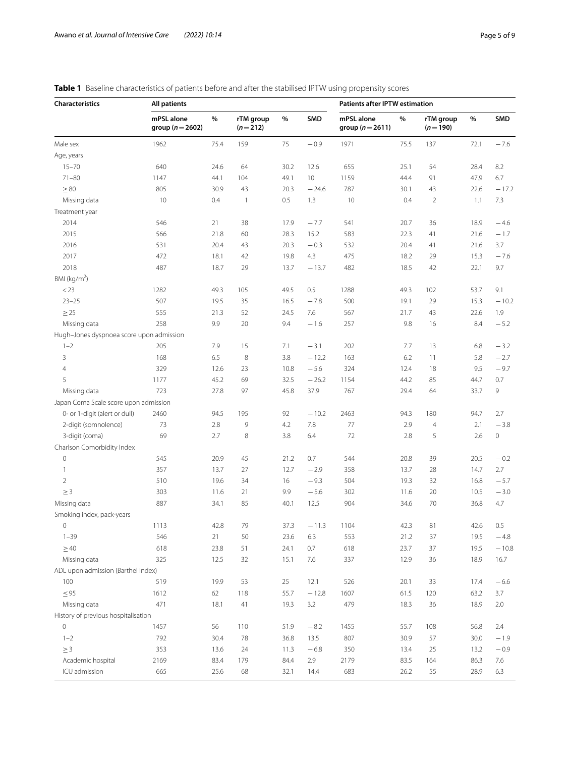<span id="page-4-0"></span>

|  | Table 1 Baseline characteristics of patients before and after the stabilised IPTW using propensity scores |  |
|--|-----------------------------------------------------------------------------------------------------------|--|
|  |                                                                                                           |  |

| Characteristics                          | All patients                       |      |                        |      |         | <b>Patients after IPTW estimation</b> |      |                        |      |         |
|------------------------------------------|------------------------------------|------|------------------------|------|---------|---------------------------------------|------|------------------------|------|---------|
|                                          | mPSL alone<br>group ( $n = 2602$ ) | $\%$ | rTM group<br>$(n=212)$ | $\%$ | SMD     | mPSL alone<br>group $(n=2611)$        | $\%$ | rTM group<br>$(n=190)$ | $\%$ | SMD     |
| Male sex                                 | 1962                               | 75.4 | 159                    | 75   | $-0.9$  | 1971                                  | 75.5 | 137                    | 72.1 | $-7.6$  |
| Age, years                               |                                    |      |                        |      |         |                                       |      |                        |      |         |
| $15 - 70$                                | 640                                | 24.6 | 64                     | 30.2 | 12.6    | 655                                   | 25.1 | 54                     | 28.4 | 8.2     |
| $71 - 80$                                | 1147                               | 44.1 | 104                    | 49.1 | 10      | 1159                                  | 44.4 | 91                     | 47.9 | 6.7     |
| $\geq 80$                                | 805                                | 30.9 | 43                     | 20.3 | $-24.6$ | 787                                   | 30.1 | 43                     | 22.6 | $-17.2$ |
| Missing data                             | 10                                 | 0.4  | $\mathbf{1}$           | 0.5  | 1.3     | 10                                    | 0.4  | $\overline{2}$         | 1.1  | 7.3     |
| Treatment year                           |                                    |      |                        |      |         |                                       |      |                        |      |         |
| 2014                                     | 546                                | 21   | 38                     | 17.9 | $-7.7$  | 541                                   | 20.7 | 36                     | 18.9 | $-4.6$  |
| 2015                                     | 566                                | 21.8 | 60                     | 28.3 | 15.2    | 583                                   | 22.3 | 41                     | 21.6 | $-1.7$  |
| 2016                                     | 531                                | 20.4 | 43                     | 20.3 | $-0.3$  | 532                                   | 20.4 | 41                     | 21.6 | 3.7     |
| 2017                                     | 472                                | 18.1 | 42                     | 19.8 | 4.3     | 475                                   | 18.2 | 29                     | 15.3 | $-7.6$  |
| 2018                                     | 487                                | 18.7 | 29                     | 13.7 | $-13.7$ | 482                                   | 18.5 | 42                     | 22.1 | 9.7     |
| BMI ( $kg/m2$ )                          |                                    |      |                        |      |         |                                       |      |                        |      |         |
| $<$ 23                                   | 1282                               | 49.3 | 105                    | 49.5 | 0.5     | 1288                                  | 49.3 | 102                    | 53.7 | 9.1     |
| $23 - 25$                                | 507                                | 19.5 | 35                     | 16.5 | $-7.8$  | 500                                   | 19.1 | 29                     | 15.3 | $-10.2$ |
| $\geq$ 25                                | 555                                | 21.3 | 52                     | 24.5 | 7.6     | 567                                   | 21.7 | 43                     | 22.6 | 1.9     |
| Missing data                             | 258                                | 9.9  | 20                     | 9.4  | $-1.6$  | 257                                   | 9.8  | 16                     | 8.4  | $-5.2$  |
| Hugh-Jones dyspnoea score upon admission |                                    |      |                        |      |         |                                       |      |                        |      |         |
| $1 - 2$                                  | 205                                | 7.9  | 15                     | 7.1  | $-3.1$  | 202                                   | 7.7  | 13                     | 6.8  | $-3.2$  |
| 3                                        | 168                                | 6.5  | 8                      | 3.8  | $-12.2$ | 163                                   | 6.2  | 11                     | 5.8  | $-2.7$  |
| $\overline{4}$                           | 329                                | 12.6 | 23                     | 10.8 | $-5.6$  | 324                                   | 12.4 | 18                     | 9.5  | $-9.7$  |
| 5                                        | 1177                               | 45.2 | 69                     | 32.5 | $-26.2$ | 1154                                  | 44.2 | 85                     | 44.7 | 0.7     |
| Missing data                             | 723                                | 27.8 | 97                     | 45.8 | 37.9    | 767                                   | 29.4 | 64                     | 33.7 | 9       |
| Japan Coma Scale score upon admission    |                                    |      |                        |      |         |                                       |      |                        |      |         |
| 0- or 1-digit (alert or dull)            | 2460                               | 94.5 | 195                    | 92   | $-10.2$ | 2463                                  | 94.3 | 180                    | 94.7 | 2.7     |
| 2-digit (somnolence)                     | 73                                 | 2.8  | 9                      | 4.2  | 7.8     | 77                                    | 2.9  | $\overline{4}$         | 2.1  | $-3.8$  |
| 3-digit (coma)                           | 69                                 | 2.7  | 8                      | 3.8  | 6.4     | 72                                    | 2.8  | 5                      | 2.6  | 0       |
| Charlson Comorbidity Index               |                                    |      |                        |      |         |                                       |      |                        |      |         |
| $\mathsf O$                              | 545                                | 20.9 | 45                     | 21.2 | 0.7     | 544                                   | 20.8 | 39                     | 20.5 | $-0.2$  |
| 1                                        | 357                                | 13.7 | 27                     | 12.7 | $-2.9$  | 358                                   | 13.7 | 28                     | 14.7 | 2.7     |
| $\overline{2}$                           | 510                                | 19.6 | 34                     | 16   | $-9.3$  | 504                                   | 19.3 | 32                     | 16.8 | $-5.7$  |
| $\geq$ 3                                 | 303                                | 11.6 | 21                     | 9.9  | $-5.6$  | 302                                   | 11.6 | 20                     | 10.5 | $-3.0$  |
| Missing data                             | 887                                | 34.1 | 85                     | 40.1 | 12.5    | 904                                   | 34.6 | 70                     | 36.8 | 4.7     |
| Smoking index, pack-years                |                                    |      |                        |      |         |                                       |      |                        |      |         |
| 0                                        | 1113                               | 42.8 | 79                     | 37.3 | $-11.3$ | 1104                                  | 42.3 | 81                     | 42.6 | 0.5     |
| $1 - 39$                                 | 546                                | 21   | 50                     | 23.6 | 6.3     | 553                                   | 21.2 | 37                     | 19.5 | $-4.8$  |
| $\geq$ 40                                | 618                                | 23.8 | 51                     | 24.1 | 0.7     | 618                                   | 23.7 | 37                     | 19.5 | $-10.8$ |
| Missing data                             | 325                                | 12.5 | 32                     | 15.1 | 7.6     | 337                                   | 12.9 | 36                     | 18.9 | 16.7    |
| ADL upon admission (Barthel Index)       |                                    |      |                        |      |         |                                       |      |                        |      |         |
| 100                                      | 519                                | 19.9 | 53                     | 25   | 12.1    | 526                                   | 20.1 | 33                     | 17.4 | $-6.6$  |
| $\leq 95$                                | 1612                               | 62   | 118                    | 55.7 | $-12.8$ | 1607                                  | 61.5 | 120                    | 63.2 | 3.7     |
| Missing data                             | 471                                | 18.1 | 41                     | 19.3 | 3.2     | 479                                   | 18.3 | 36                     | 18.9 | 2.0     |
| History of previous hospitalisation      |                                    |      |                        |      |         |                                       |      |                        |      |         |
| 0                                        | 1457                               | 56   | 110                    | 51.9 | $-8.2$  | 1455                                  | 55.7 | 108                    | 56.8 | 2.4     |
| $1 - 2$                                  | 792                                | 30.4 | 78                     | 36.8 | 13.5    | 807                                   | 30.9 | 57                     | 30.0 | $-1.9$  |
| $\geq 3$                                 | 353                                | 13.6 | 24                     | 11.3 | $-6.8$  | 350                                   | 13.4 | 25                     | 13.2 | $-0.9$  |
| Academic hospital                        | 2169                               | 83.4 | 179                    | 84.4 | 2.9     | 2179                                  | 83.5 | 164                    | 86.3 | 7.6     |
| ICU admission                            | 665                                | 25.6 | 68                     | 32.1 | 14.4    | 683                                   | 26.2 | 55                     | 28.9 | 6.3     |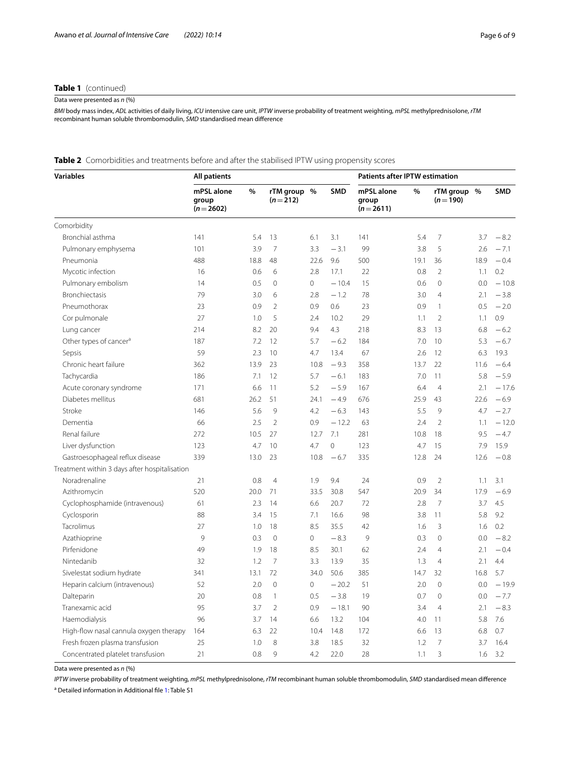## **Table 1** (continued)

|  | Data were presented as n (%) |  |  |  |
|--|------------------------------|--|--|--|
|--|------------------------------|--|--|--|

*BMI* body mass index, *ADL* activities of daily living, *ICU* intensive care unit, *IPTW* inverse probability of treatment weighting, *mPSL* methylprednisolone, *rTM* recombinant human soluble thrombomodulin, *SMD* standardised mean diference

<span id="page-5-0"></span>

| Table 2 Comorbidities and treatments before and after the stabilised IPTW using propensity scores |  |
|---------------------------------------------------------------------------------------------------|--|

| <b>Variables</b>                              | <b>All patients</b>               |      |                          |                |                | <b>Patients after IPTW estimation</b> |      |                          |      |            |
|-----------------------------------------------|-----------------------------------|------|--------------------------|----------------|----------------|---------------------------------------|------|--------------------------|------|------------|
|                                               | mPSL alone<br>group<br>$(n=2602)$ | %    | rTM group %<br>$(n=212)$ |                | <b>SMD</b>     | mPSL alone<br>group<br>$(n=2611)$     | $\%$ | rTM group %<br>$(n=190)$ |      | <b>SMD</b> |
| Comorbidity                                   |                                   |      |                          |                |                |                                       |      |                          |      |            |
| Bronchial asthma                              | 141                               | 5.4  | 13                       | 6.1            | 3.1            | 141                                   | 5.4  | $\overline{7}$           | 3.7  | $-8.2$     |
| Pulmonary emphysema                           | 101                               | 3.9  | $\overline{7}$           | 3.3            | $-3.1$         | 99                                    | 3.8  | 5                        | 2.6  | $-7.1$     |
| Pneumonia                                     | 488                               | 18.8 | 48                       | 22.6           | 9.6            | 500                                   | 19.1 | 36                       | 18.9 | $-0.4$     |
| Mycotic infection                             | 16                                | 0.6  | 6                        | 2.8            | 17.1           | 22                                    | 0.8  | $\overline{2}$           | 1.1  | 0.2        |
| Pulmonary embolism                            | 14                                | 0.5  | $\mathbf{0}$             | 0              | $-10.4$        | 15                                    | 0.6  | $\mathbf{0}$             | 0.0  | $-10.8$    |
| Bronchiectasis                                | 79                                | 3.0  | 6                        | 2.8            | $-1.2$         | 78                                    | 3.0  | $\overline{4}$           | 2.1  | $-3.8$     |
| Pneumothorax                                  | 23                                | 0.9  | $\overline{2}$           | 0.9            | 0.6            | 23                                    | 0.9  | $\mathbf{1}$             | 0.5  | $-2.0$     |
| Cor pulmonale                                 | 27                                | 1.0  | 5                        | 2.4            | 10.2           | 29                                    | 1.1  | $\overline{2}$           | 1.1  | 0.9        |
| Lung cancer                                   | 214                               | 8.2  | 20                       | 9.4            | 4.3            | 218                                   | 8.3  | 13                       | 6.8  | $-6.2$     |
| Other types of cancer <sup>a</sup>            | 187                               | 7.2  | 12                       | 5.7            | $-6.2$         | 184                                   | 7.0  | 10                       | 5.3  | $-6.7$     |
| Sepsis                                        | 59                                | 2.3  | 10                       | 4.7            | 13.4           | 67                                    | 2.6  | 12                       | 6.3  | 19.3       |
| Chronic heart failure                         | 362                               | 13.9 | 23                       | 10.8           | $-9.3$         | 358                                   | 13.7 | 22                       | 11.6 | $-6.4$     |
| Tachycardia                                   | 186                               | 7.1  | 12                       | 5.7            | $-6.1$         | 183                                   | 7.0  | 11                       | 5.8  | $-5.9$     |
| Acute coronary syndrome                       | 171                               | 6.6  | 11                       | 5.2            | $-5.9$         | 167                                   | 6.4  | $\overline{4}$           | 2.1  | $-17.6$    |
| Diabetes mellitus                             | 681                               | 26.2 | 51                       | 24.1           | $-4.9$         | 676                                   | 25.9 | 43                       | 22.6 | $-6.9$     |
| Stroke                                        | 146                               | 5.6  | 9                        | 4.2            | $-6.3$         | 143                                   | 5.5  | 9                        | 4.7  | $-2.7$     |
| Dementia                                      | 66                                | 2.5  | $\overline{2}$           | 0.9            | $-12.2$        | 63                                    | 2.4  | $\overline{2}$           | 1.1  | $-12.0$    |
| Renal failure                                 | 272                               | 10.5 | 27                       | 12.7           | 7.1            | 281                                   | 10.8 | 18                       | 9.5  | $-4.7$     |
| Liver dysfunction                             | 123                               | 4.7  | 10                       | 4.7            | $\overline{0}$ | 123                                   | 4.7  | 15                       | 7.9  | 15.9       |
| Gastroesophageal reflux disease               | 339                               | 13.0 | 23                       | 10.8           | $-6.7$         | 335                                   | 12.8 | 24                       | 12.6 | $-0.8$     |
| Treatment within 3 days after hospitalisation |                                   |      |                          |                |                |                                       |      |                          |      |            |
| Noradrenaline                                 | 21                                | 0.8  | $\overline{4}$           | 1.9            | 9.4            | 24                                    | 0.9  | $\overline{2}$           | 1.1  | 3.1        |
| Azithromycin                                  | 520                               | 20.0 | 71                       | 33.5           | 30.8           | 547                                   | 20.9 | 34                       | 17.9 | $-6.9$     |
| Cyclophosphamide (intravenous)                | 61                                | 2.3  | 14                       | 6.6            | 20.7           | 72                                    | 2.8  | $\overline{7}$           | 3.7  | 4.5        |
| Cyclosporin                                   | 88                                | 3.4  | 15                       | 7.1            | 16.6           | 98                                    | 3.8  | 11                       | 5.8  | 9.2        |
| Tacrolimus                                    | 27                                | 1.0  | 18                       | 8.5            | 35.5           | 42                                    | 1.6  | 3                        | 1.6  | 0.2        |
| Azathioprine                                  | 9                                 | 0.3  | $\mathbf{0}$             | $\mathbf{0}$   | $-8.3$         | 9                                     | 0.3  | $\mathbf{0}$             | 0.0  | $-8.2$     |
| Pirfenidone                                   | 49                                | 1.9  | 18                       | 8.5            | 30.1           | 62                                    | 2.4  | $\overline{4}$           | 2.1  | $-0.4$     |
| Nintedanib                                    | 32                                | 1.2  | $\overline{7}$           | 3.3            | 13.9           | 35                                    | 1.3  | $\overline{4}$           | 2.1  | 4.4        |
| Sivelestat sodium hydrate                     | 341                               | 13.1 | 72                       | 34.0           | 50.6           | 385                                   | 14.7 | 32                       | 16.8 | 5.7        |
| Heparin calcium (intravenous)                 | 52                                | 2.0  | $\overline{0}$           | $\overline{0}$ | $-20.2$        | 51                                    | 2.0  | $\Omega$                 | 0.0  | $-19.9$    |
| Dalteparin                                    | 20                                | 0.8  | $\mathbf{1}$             | 0.5            | $-3.8$         | 19                                    | 0.7  | $\mathbf{0}$             | 0.0  | $-7.7$     |
| Tranexamic acid                               | 95                                | 3.7  | $\overline{2}$           | 0.9            | $-18.1$        | 90                                    | 3.4  | $\overline{4}$           | 2.1  | $-8.3$     |
| Haemodialysis                                 | 96                                | 3.7  | 14                       | 6.6            | 13.2           | 104                                   | 4.0  | 11                       | 5.8  | 7.6        |
| High-flow nasal cannula oxygen therapy        | 164                               | 6.3  | 22                       | 10.4           | 14.8           | 172                                   | 6.6  | 13                       | 6.8  | 0.7        |
| Fresh frozen plasma transfusion               | 25                                | 1.0  | 8                        | 3.8            | 18.5           | 32                                    | 1.2  | $\overline{7}$           | 3.7  | 16.4       |
| Concentrated platelet transfusion             | 21                                | 0.8  | $\mathsf{Q}$             | 4.2            | 22.0           | 28                                    | 1.1  | 3                        | 1.6  | 3.2        |

Data were presented as *n* (%)

*IPTW* inverse probability of treatment weighting, *mPSL* methylprednisolone, *rTM* recombinant human soluble thrombomodulin, *SMD* standardised mean diference

<sup>a</sup> Detailed information in Additional file [1](#page-7-0): Table S1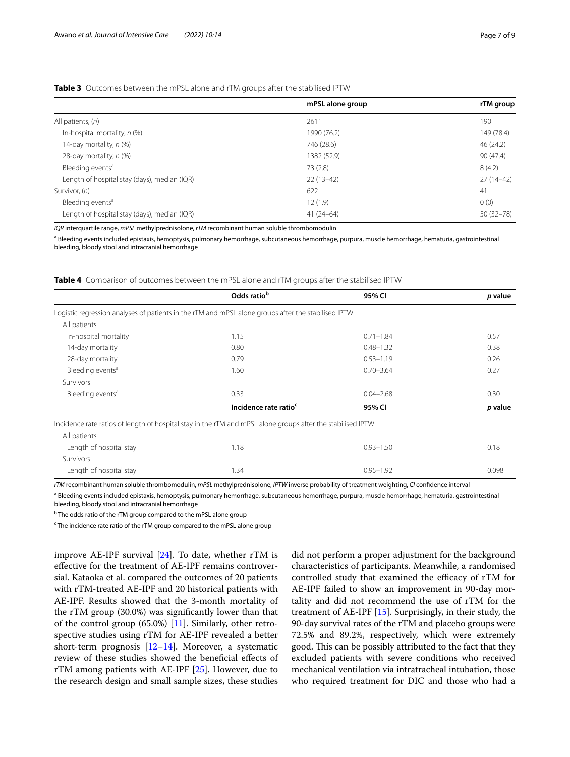#### <span id="page-6-0"></span>**Table 3** Outcomes between the mPSL alone and rTM groups after the stabilised IPTW

|                                              | mPSL alone group | rTM group     |
|----------------------------------------------|------------------|---------------|
| All patients, $(n)$                          | 2611             | 190           |
| In-hospital mortality, $n$ (%)               | 1990 (76.2)      | 149 (78.4)    |
| 14-day mortality, n (%)                      | 746 (28.6)       | 46 (24.2)     |
| 28-day mortality, n (%)                      | 1382 (52.9)      | 90 (47.4)     |
| Bleeding events <sup>a</sup>                 | 73(2.8)          | 8(4.2)        |
| Length of hospital stay (days), median (IQR) | $22(13-42)$      | $27(14-42)$   |
| Survivor, (n)                                | 622              | 41            |
| Bleeding events <sup>a</sup>                 | 12(1.9)          | 0(0)          |
| Length of hospital stay (days), median (IQR) | $41(24-64)$      | $50(32 - 78)$ |

*IQR* interquartile range, *mPSL* methylprednisolone, *rTM* recombinant human soluble thrombomodulin

<sup>a</sup> Bleeding events included epistaxis, hemoptysis, pulmonary hemorrhage, subcutaneous hemorrhage, purpura, muscle hemorrhage, hematuria, gastrointestinal bleeding, bloody stool and intracranial hemorrhage

|                              | Odds ratiob                                                                                                 | 95% CI        | p value |
|------------------------------|-------------------------------------------------------------------------------------------------------------|---------------|---------|
|                              | Logistic regression analyses of patients in the rTM and mPSL alone groups after the stabilised IPTW         |               |         |
| All patients                 |                                                                                                             |               |         |
| In-hospital mortality        | 1.15                                                                                                        | $0.71 - 1.84$ | 0.57    |
| 14-day mortality             | 0.80                                                                                                        | $0.48 - 1.32$ | 0.38    |
| 28-day mortality             | 0.79                                                                                                        | $0.53 - 1.19$ | 0.26    |
| Bleeding events <sup>a</sup> | 1.60                                                                                                        | $0.70 - 3.64$ | 0.27    |
| Survivors                    |                                                                                                             |               |         |
| Bleeding events <sup>a</sup> | 0.33                                                                                                        | $0.04 - 2.68$ | 0.30    |
|                              | Incidence rate ratio <sup>c</sup>                                                                           | 95% CI        | p value |
|                              | Incidence rate ratios of length of hospital stay in the rTM and mPSL alone groups after the stabilised IPTW |               |         |
| All patients                 |                                                                                                             |               |         |
| Length of hospital stay      | 1.18                                                                                                        | $0.93 - 1.50$ | 0.18    |
| Survivors                    |                                                                                                             |               |         |
| Length of hospital stay      | 1.34                                                                                                        | $0.95 - 1.92$ | 0.098   |

<span id="page-6-1"></span>**Table 4** Comparison of outcomes between the mPSL alone and rTM groups after the stabilised IPTW

*rTM* recombinant human soluble thrombomodulin, *mPSL* methylprednisolone, *IPTW* inverse probability of treatment weighting, *CI* confdence interval

<sup>a</sup> Bleeding events included epistaxis, hemoptysis, pulmonary hemorrhage, subcutaneous hemorrhage, purpura, muscle hemorrhage, hematuria, gastrointestinal bleeding, bloody stool and intracranial hemorrhage

<sup>b</sup> The odds ratio of the rTM group compared to the mPSL alone group

<sup>c</sup> The incidence rate ratio of the rTM group compared to the mPSL alone group

improve AE-IPF survival [\[24](#page-8-19)]. To date, whether rTM is efective for the treatment of AE-IPF remains controversial. Kataoka et al. compared the outcomes of 20 patients with rTM-treated AE-IPF and 20 historical patients with AE-IPF. Results showed that the 3-month mortality of the rTM group (30.0%) was signifcantly lower than that of the control group (65.0%) [[11](#page-8-8)]. Similarly, other retrospective studies using rTM for AE-IPF revealed a better short-term prognosis [[12–](#page-8-20)[14](#page-8-9)]. Moreover, a systematic review of these studies showed the benefcial efects of rTM among patients with AE-IPF [[25\]](#page-8-21). However, due to the research design and small sample sizes, these studies did not perform a proper adjustment for the background characteristics of participants. Meanwhile, a randomised controlled study that examined the efficacy of rTM for AE-IPF failed to show an improvement in 90-day mortality and did not recommend the use of rTM for the treatment of AE-IPF [[15](#page-8-10)]. Surprisingly, in their study, the 90-day survival rates of the rTM and placebo groups were 72.5% and 89.2%, respectively, which were extremely good. This can be possibly attributed to the fact that they excluded patients with severe conditions who received mechanical ventilation via intratracheal intubation, those who required treatment for DIC and those who had a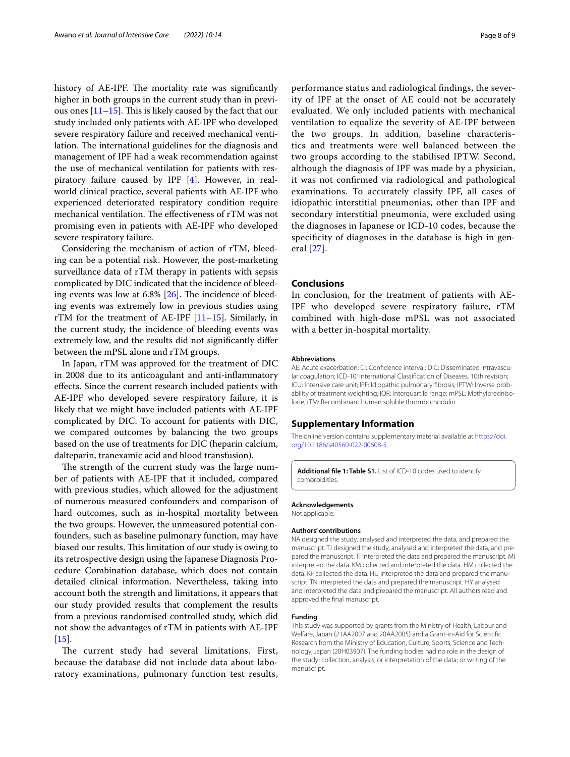history of AE-IPF. The mortality rate was significantly higher in both groups in the current study than in previous ones  $[11–15]$  $[11–15]$  $[11–15]$  $[11–15]$ . This is likely caused by the fact that our study included only patients with AE-IPF who developed severe respiratory failure and received mechanical ventilation. The international guidelines for the diagnosis and management of IPF had a weak recommendation against the use of mechanical ventilation for patients with respiratory failure caused by IPF [\[4](#page-8-3)]. However, in realworld clinical practice, several patients with AE-IPF who experienced deteriorated respiratory condition require mechanical ventilation. The effectiveness of rTM was not promising even in patients with AE-IPF who developed severe respiratory failure.

Considering the mechanism of action of rTM, bleeding can be a potential risk. However, the post-marketing surveillance data of rTM therapy in patients with sepsis complicated by DIC indicated that the incidence of bleeding events was low at  $6.8\%$  [\[26](#page-8-22)]. The incidence of bleeding events was extremely low in previous studies using rTM for the treatment of AE-IPF [[11–](#page-8-8)[15](#page-8-10)]. Similarly, in the current study, the incidence of bleeding events was extremely low, and the results did not signifcantly difer between the mPSL alone and rTM groups.

In Japan, rTM was approved for the treatment of DIC in 2008 due to its anticoagulant and anti-infammatory efects. Since the current research included patients with AE-IPF who developed severe respiratory failure, it is likely that we might have included patients with AE-IPF complicated by DIC. To account for patients with DIC, we compared outcomes by balancing the two groups based on the use of treatments for DIC (heparin calcium, dalteparin, tranexamic acid and blood transfusion).

The strength of the current study was the large number of patients with AE-IPF that it included, compared with previous studies, which allowed for the adjustment of numerous measured confounders and comparison of hard outcomes, such as in-hospital mortality between the two groups. However, the unmeasured potential confounders, such as baseline pulmonary function, may have biased our results. This limitation of our study is owing to its retrospective design using the Japanese Diagnosis Procedure Combination database, which does not contain detailed clinical information. Nevertheless, taking into account both the strength and limitations, it appears that our study provided results that complement the results from a previous randomised controlled study, which did not show the advantages of rTM in patients with AE-IPF  $[15]$  $[15]$ .

The current study had several limitations. First, because the database did not include data about laboratory examinations, pulmonary function test results, performance status and radiological fndings, the severity of IPF at the onset of AE could not be accurately evaluated. We only included patients with mechanical ventilation to equalize the severity of AE-IPF between the two groups. In addition, baseline characteristics and treatments were well balanced between the two groups according to the stabilised IPTW. Second, although the diagnosis of IPF was made by a physician, it was not confrmed via radiological and pathological examinations. To accurately classify IPF, all cases of idiopathic interstitial pneumonias, other than IPF and secondary interstitial pneumonia, were excluded using the diagnoses in Japanese or ICD-10 codes, because the specifcity of diagnoses in the database is high in general [\[27](#page-8-23)].

#### **Conclusions**

In conclusion, for the treatment of patients with AE-IPF who developed severe respiratory failure, rTM combined with high-dose mPSL was not associated with a better in-hospital mortality.

#### **Abbreviations**

AE: Acute exacerbation; CI: Confdence interval; DIC: Disseminated intravascular coagulation; ICD-10: International Classifcation of Diseases, 10th revision; ICU: Intensive care unit; IPF: Idiopathic pulmonary fbrosis; IPTW: Inverse probability of treatment weighting; IQR: Interquartile range; mPSL: Methylprednisolone; rTM: Recombinant human soluble thrombomodulin.

#### **Supplementary Information**

The online version contains supplementary material available at [https://doi.](https://doi.org/10.1186/s40560-022-00608-5) [org/10.1186/s40560-022-00608-5](https://doi.org/10.1186/s40560-022-00608-5).

<span id="page-7-0"></span>**Additional fle 1: Table S1.** List of ICD-10 codes used to identify comorbidities.

## **Acknowledgements**

Not applicable.

#### **Authors' contributions**

NA designed the study, analysed and interpreted the data, and prepared the manuscript. TJ designed the study, analysed and interpreted the data, and prepared the manuscript. TI interpreted the data and prepared the manuscript. MI interpreted the data. KM collected and interpreted the data. HM collected the data. KF collected the data. HU interpreted the data and prepared the manuscript. TN interpreted the data and prepared the manuscript. HY analysed and interpreted the data and prepared the manuscript. All authors read and approved the fnal manuscript.

#### **Funding**

This study was supported by grants from the Ministry of Health, Labour and Welfare, Japan (21AA2007 and 20AA2005) and a Grant-in-Aid for Scientifc Research from the Ministry of Education, Culture, Sports, Science and Technology, Japan (20H03907). The funding bodies had no role in the design of the study; collection, analysis, or interpretation of the data; or writing of the manuscript.